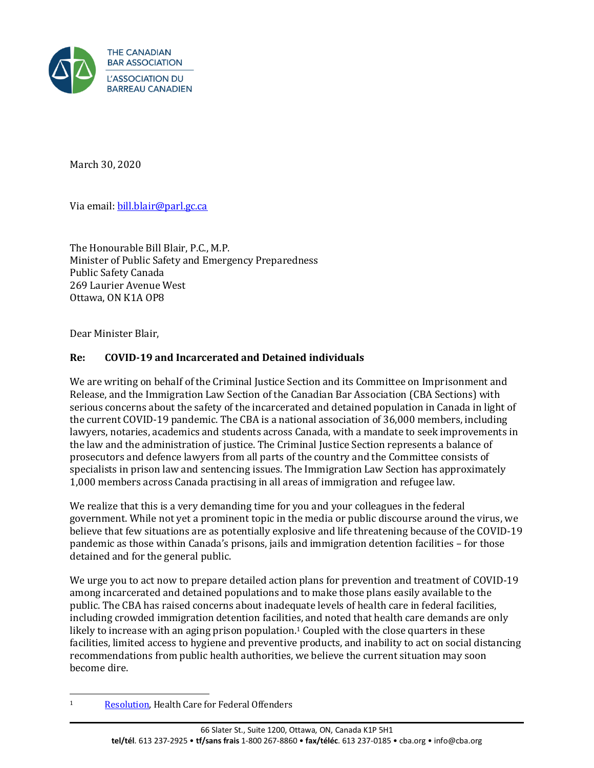

March 30, 2020

Via email[: bill.blair@parl.gc.ca](mailto:BILL.BLAIR@PARL.GC.CA)

The Honourable Bill Blair, P.C., M.P. Minister of Public Safety and Emergency Preparedness Public Safety Canada 269 Laurier Avenue West Ottawa, ON K1A OP8

Dear Minister Blair,

## **Re: COVID-19 and Incarcerated and Detained individuals**

We are writing on behalf of the Criminal Justice Section and its Committee on Imprisonment and Release, and the Immigration Law Section of the Canadian Bar Association (CBA Sections) with serious concerns about the safety of the incarcerated and detained population in Canada in light of the current COVID-19 pandemic. The CBA is a national association of 36,000 members, including lawyers, notaries, academics and students across Canada, with a mandate to seek improvements in the law and the administration of justice. The Criminal Justice Section represents a balance of prosecutors and defence lawyers from all parts of the country and the Committee consists of specialists in prison law and sentencing issues. The Immigration Law Section has approximately 1,000 members across Canada practising in all areas of immigration and refugee law.

We realize that this is a very demanding time for you and your colleagues in the federal government. While not yet a prominent topic in the media or public discourse around the virus, we believe that few situations are as potentially explosive and life threatening because of the COVID-19 pandemic as those within Canada's prisons, jails and immigration detention facilities – for those detained and for the general public.

We urge you to act now to prepare detailed action plans for prevention and treatment of COVID-19 among incarcerated and detained populations and to make those plans easily available to the public. The CBA has raised concerns about inadequate levels of health care in federal facilities, including crowded immigration detention facilities, and noted that health care demands are only likely to increase with an aging prison population.<sup>1</sup> Coupled with the close quarters in these facilities, limited access to hygiene and preventive products, and inability to act on social distancing recommendations from public health authorities, we believe the current situation may soon become dire.

<sup>1</sup> [Resolution,](https://www.cba.org/getattachment/Our-Work/Resolutions/Resolutions/2015/Health-Care-for-Federal-Offenders/15-06-A-ct.pdf) Health Care for Federal Offenders